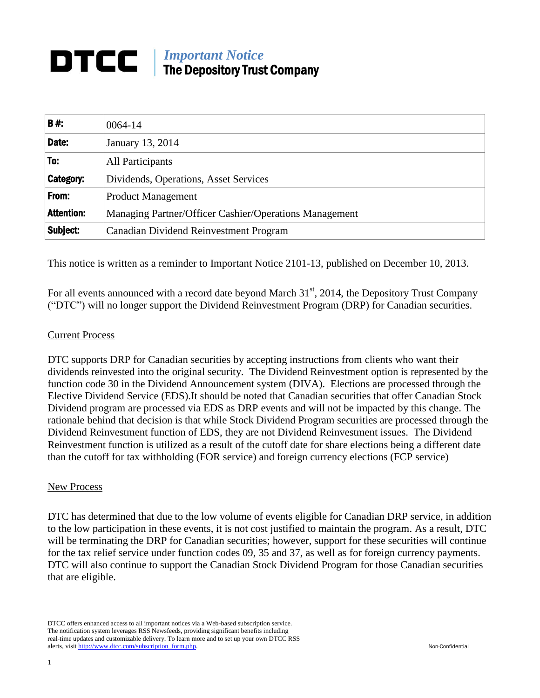## *Important Notice* DTCC The Depository Trust Company

| <b>B#:</b>       | 0064-14                                                |  |
|------------------|--------------------------------------------------------|--|
| Date:            | January 13, 2014                                       |  |
| To:              | All Participants                                       |  |
| <b>Category:</b> | Dividends, Operations, Asset Services                  |  |
| From:            | <b>Product Management</b>                              |  |
| Attention:       | Managing Partner/Officer Cashier/Operations Management |  |
| Subject:         | Canadian Dividend Reinvestment Program                 |  |

This notice is written as a reminder to Important Notice 2101-13, published on December 10, 2013.

For all events announced with a record date beyond March 31<sup>st</sup>, 2014, the Depository Trust Company ("DTC") will no longer support the Dividend Reinvestment Program (DRP) for Canadian securities.

## Current Process

DTC supports DRP for Canadian securities by accepting instructions from clients who want their dividends reinvested into the original security. The Dividend Reinvestment option is represented by the function code 30 in the Dividend Announcement system (DIVA). Elections are processed through the Elective Dividend Service (EDS).It should be noted that Canadian securities that offer Canadian Stock Dividend program are processed via EDS as DRP events and will not be impacted by this change. The rationale behind that decision is that while Stock Dividend Program securities are processed through the Dividend Reinvestment function of EDS, they are not Dividend Reinvestment issues. The Dividend Reinvestment function is utilized as a result of the cutoff date for share elections being a different date than the cutoff for tax withholding (FOR service) and foreign currency elections (FCP service)

## New Process

DTC has determined that due to the low volume of events eligible for Canadian DRP service, in addition to the low participation in these events, it is not cost justified to maintain the program. As a result, DTC will be terminating the DRP for Canadian securities; however, support for these securities will continue for the tax relief service under function codes 09, 35 and 37, as well as for foreign currency payments. DTC will also continue to support the Canadian Stock Dividend Program for those Canadian securities that are eligible.

DTCC offers enhanced access to all important notices via a Web-based subscription service. The notification system leverages RSS Newsfeeds, providing significant benefits including real-time updates and customizable delivery. To learn more and to set up your own DTCC RSS alerts, visit http://www.dtcc.com/subscription\_form.php. Non-Confidential